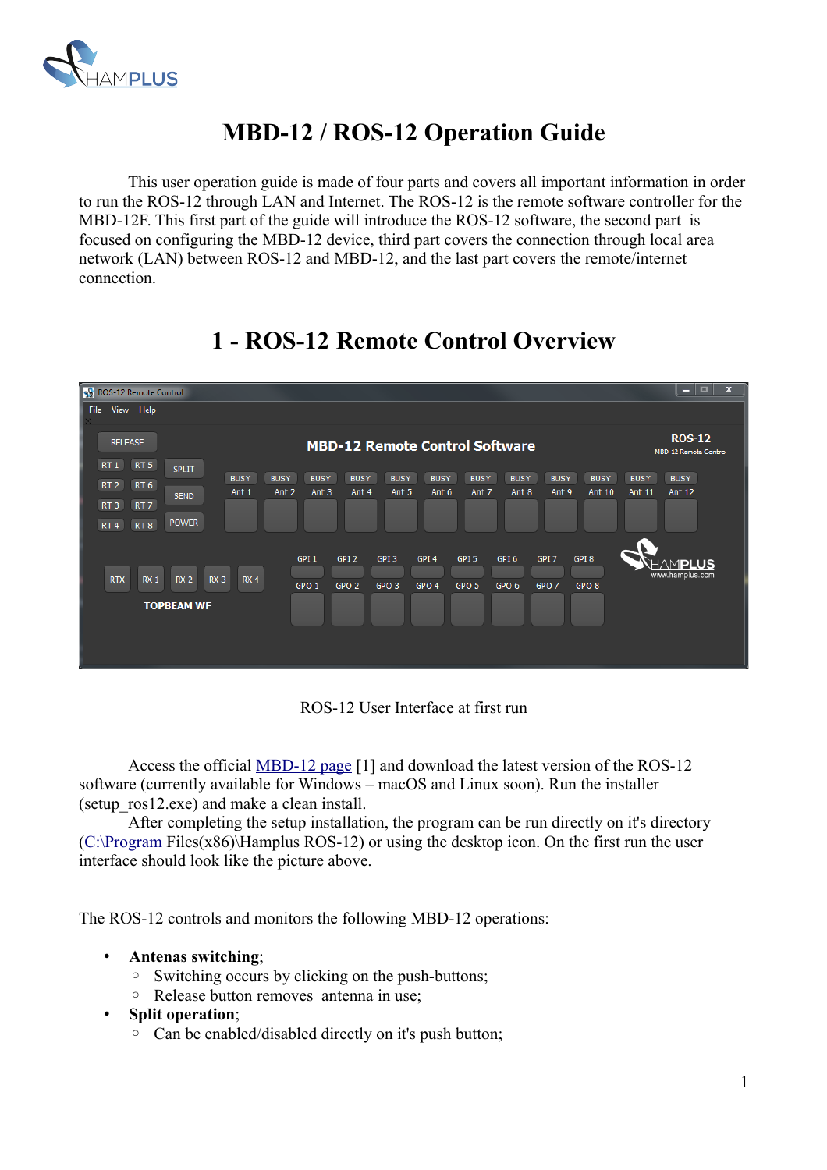

# **MBD-12 / ROS-12 Operation Guide**

This user operation guide is made of four parts and covers all important information in order to run the ROS-12 through LAN and Internet. The ROS-12 is the remote software controller for the MBD-12F. This first part of the guide will introduce the ROS-12 software, the second part is focused on configuring the MBD-12 device, third part covers the connection through local area network (LAN) between ROS-12 and MBD-12, and the last part covers the remote/internet connection.



# **1 - ROS-12 Remote Control Overview**

ROS-12 User Interface at first run

Access the official [MBD-12 page](http://hamplus.com/mbd12f.htm) [1] and download the latest version of the ROS-12 software (currently available for Windows – macOS and Linux soon). Run the installer (setup\_ros12.exe) and make a clean install.

After completing the setup installation, the program can be run directly on it's directory [\(C:\Program](file:///Program) Files(x86)\Hamplus ROS-12) or using the desktop icon. On the first run the user interface should look like the picture above.

The ROS-12 controls and monitors the following MBD-12 operations:

- **Antenas switching**;
	- Switching occurs by clicking on the push-buttons;
	- Release button removes antenna in use;
- **Split operation**;
	- Can be enabled/disabled directly on it's push button;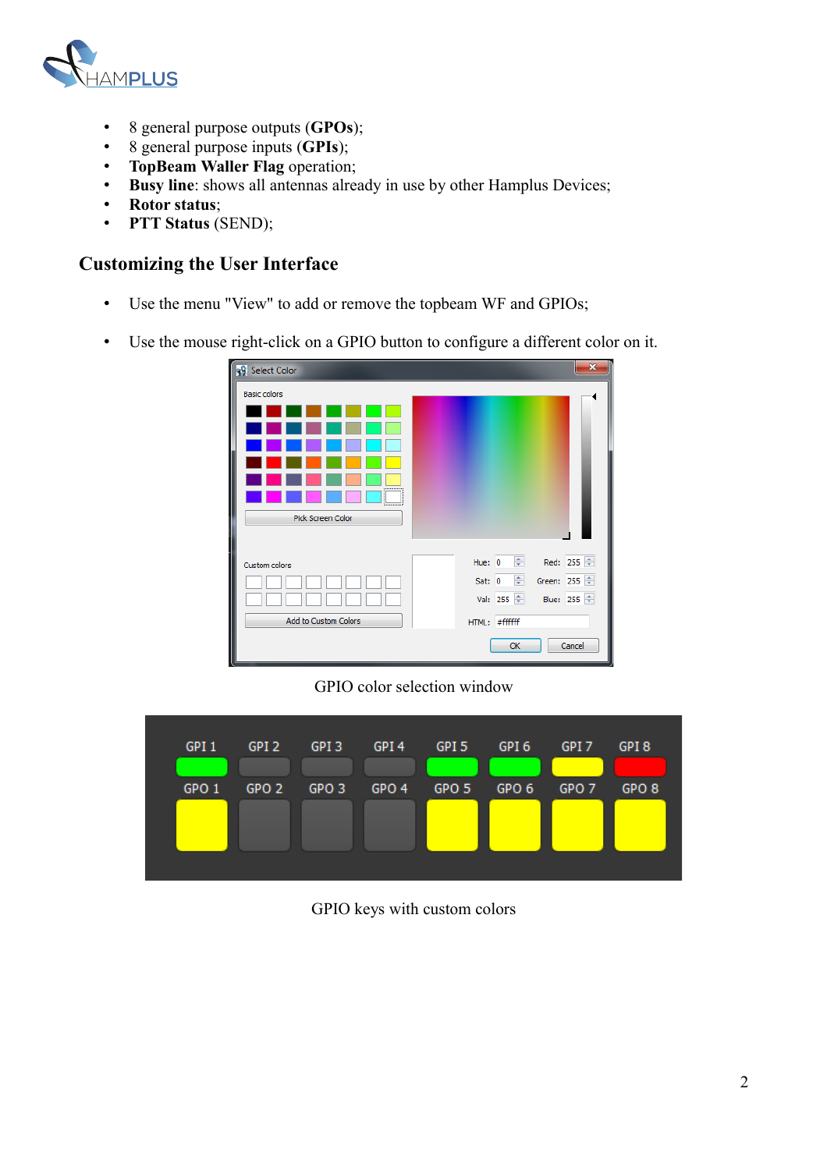

- 8 general purpose outputs (**GPOs**);
- 8 general purpose inputs (**GPIs**);
- **TopBeam Waller Flag** operation;
- **Busy line**: shows all antennas already in use by other Hamplus Devices;
- **Rotor status**;
- **PTT Status** (SEND);

### **Customizing the User Interface**

- Use the menu "View" to add or remove the topbeam WF and GPIOs;
- Use the mouse right-click on a GPIO button to configure a different color on it.

| <b>99</b> Select Color                     | ×                                  |
|--------------------------------------------|------------------------------------|
| <b>Basic colors</b><br>,,,,,,,,,,,,,,<br>. |                                    |
| Pick Screen Color                          |                                    |
|                                            |                                    |
| Custom colors                              | $\frac{4}{2}$ Red: 255<br>Hue: $0$ |
|                                            | ÷<br>Green: 255 $\div$<br>Sat: 0   |
|                                            | Val: 255 $\div$<br>Blue: 255       |
| Add to Custom Colors                       | #fffffff<br>HTML:                  |
|                                            | Cancel<br>OK                       |

GPIO color selection window

| GPI <sub>1</sub> | GPI <sub>2</sub> | GPI <sub>3</sub> | GPI <sub>4</sub> | GPI <sub>5</sub> | GPI <sub>6</sub> | GPI <sub>7</sub> | GPI <sub>8</sub> |
|------------------|------------------|------------------|------------------|------------------|------------------|------------------|------------------|
| GPO <sub>1</sub> | GPO <sub>2</sub> | GPO <sub>3</sub> | GPO <sub>4</sub> | GPO <sub>5</sub> | GPO <sub>6</sub> | GPO <sub>7</sub> | GPO <sub>8</sub> |
|                  |                  |                  |                  |                  |                  |                  |                  |

GPIO keys with custom colors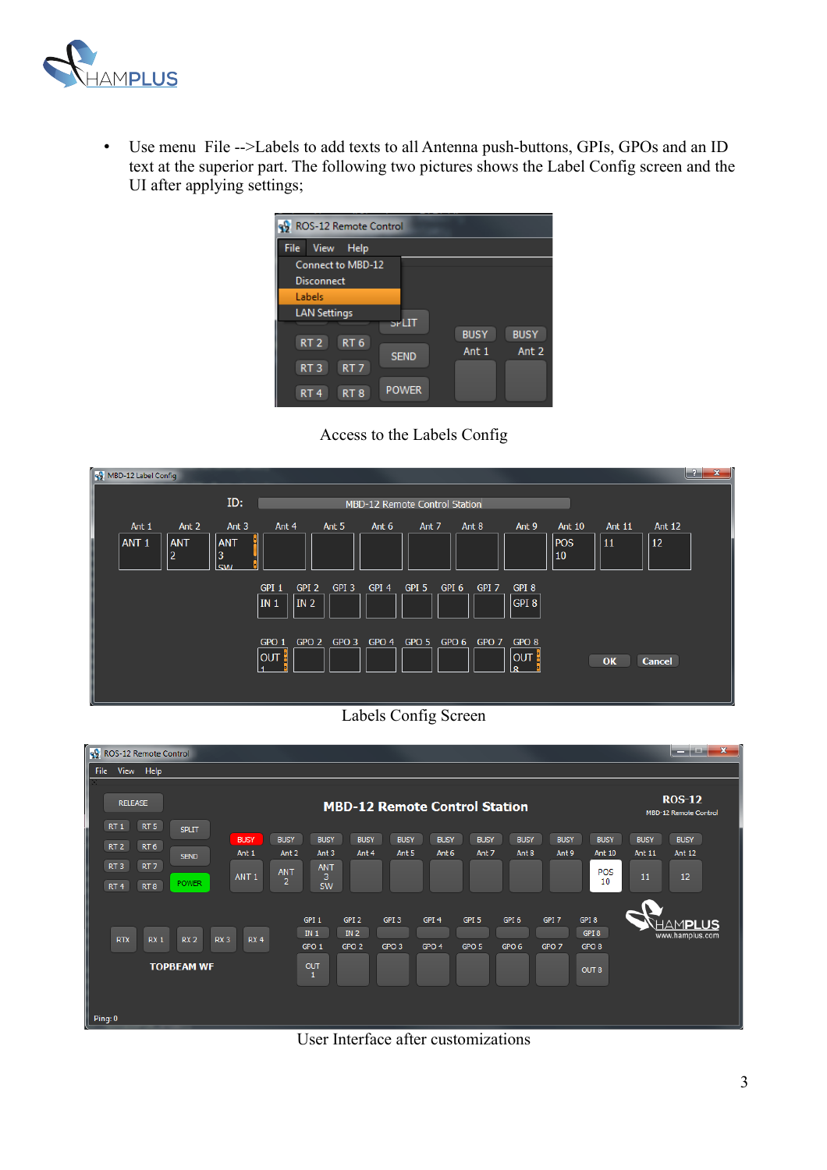

• Use menu File -->Labels to add texts to all Antenna push-buttons, GPIs, GPOs and an ID text at the superior part. The following two pictures shows the Label Config screen and the UI after applying settings;

| 99 ROS-12 Remote Control           |                                      |
|------------------------------------|--------------------------------------|
| <b>File</b><br><b>View</b><br>Help |                                      |
| Connect to MBD-12                  |                                      |
| <b>Disconnect</b>                  |                                      |
| Labels                             |                                      |
| <b>LAN Settings</b>                |                                      |
|                                    | SPLIT<br><b>BUSY</b><br><b>BUSY</b>  |
| RT <sub>6</sub><br>RT <sub>2</sub> | Ant <sub>2</sub><br>Ant <sub>1</sub> |
| RT <sub>3</sub><br>RT <sub>7</sub> | <b>SEND</b>                          |
|                                    |                                      |
| RT <sub>4</sub><br>RT <sub>8</sub> | <b>POWER</b>                         |





Labels Config Screen



User Interface after customizations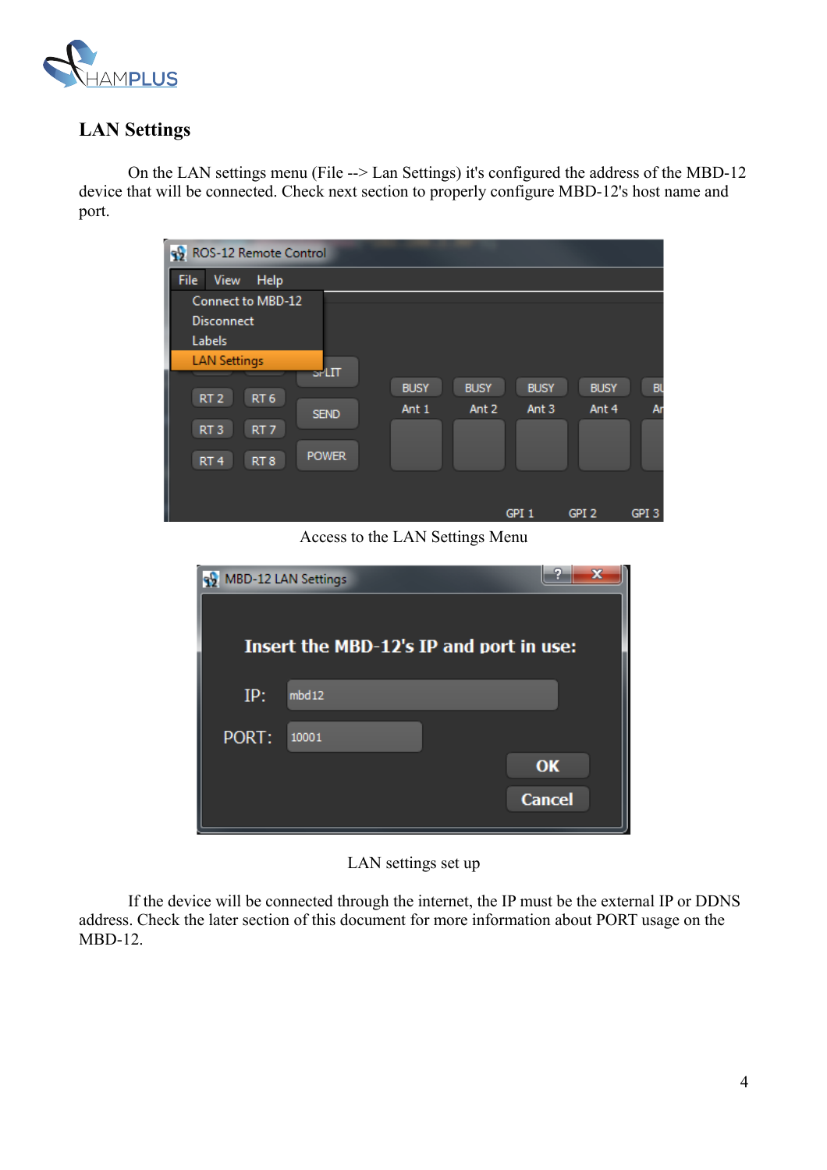

# **LAN Settings**

On the LAN settings menu (File --> Lan Settings) it's configured the address of the MBD-12 device that will be connected. Check next section to properly configure MBD-12's host name and port.

| 92 ROS-12 Remote Control                           |             |                  |                  |                  |           |
|----------------------------------------------------|-------------|------------------|------------------|------------------|-----------|
| File<br>Help<br><b>View</b>                        |             |                  |                  |                  |           |
| Connect to MBD-12                                  |             |                  |                  |                  |           |
| <b>Disconnect</b>                                  |             |                  |                  |                  |           |
| Labels                                             |             |                  |                  |                  |           |
| <b>LAN Settings</b><br>$5$ PLIT                    |             |                  |                  |                  |           |
| RT <sub>2</sub><br>RT <sub>6</sub>                 | <b>BUSY</b> | <b>BUSY</b>      | <b>BUSY</b>      | <b>BUSY</b>      | <b>BU</b> |
| <b>SEND</b>                                        | Ant 1       | Ant <sub>2</sub> | Ant <sub>3</sub> | Ant 4            | Ar        |
| RT <sub>3</sub><br>RT <sub>7</sub>                 |             |                  |                  |                  |           |
| <b>POWER</b><br>RT <sub>4</sub><br>RT <sub>8</sub> |             |                  |                  |                  |           |
|                                                    |             |                  |                  |                  |           |
|                                                    |             |                  | GPI <sub>1</sub> | GPI <sub>2</sub> | GPI 3     |

Access to the LAN Settings Menu

|       | MBD-12 LAN Settings                     |               |
|-------|-----------------------------------------|---------------|
|       | Insert the MBD-12's IP and port in use: |               |
| IP:   | mbd12                                   |               |
| PORT: | 10001                                   |               |
|       |                                         | OK            |
|       |                                         | <b>Cancel</b> |

LAN settings set up

If the device will be connected through the internet, the IP must be the external IP or DDNS address. Check the later section of this document for more information about PORT usage on the MBD-12.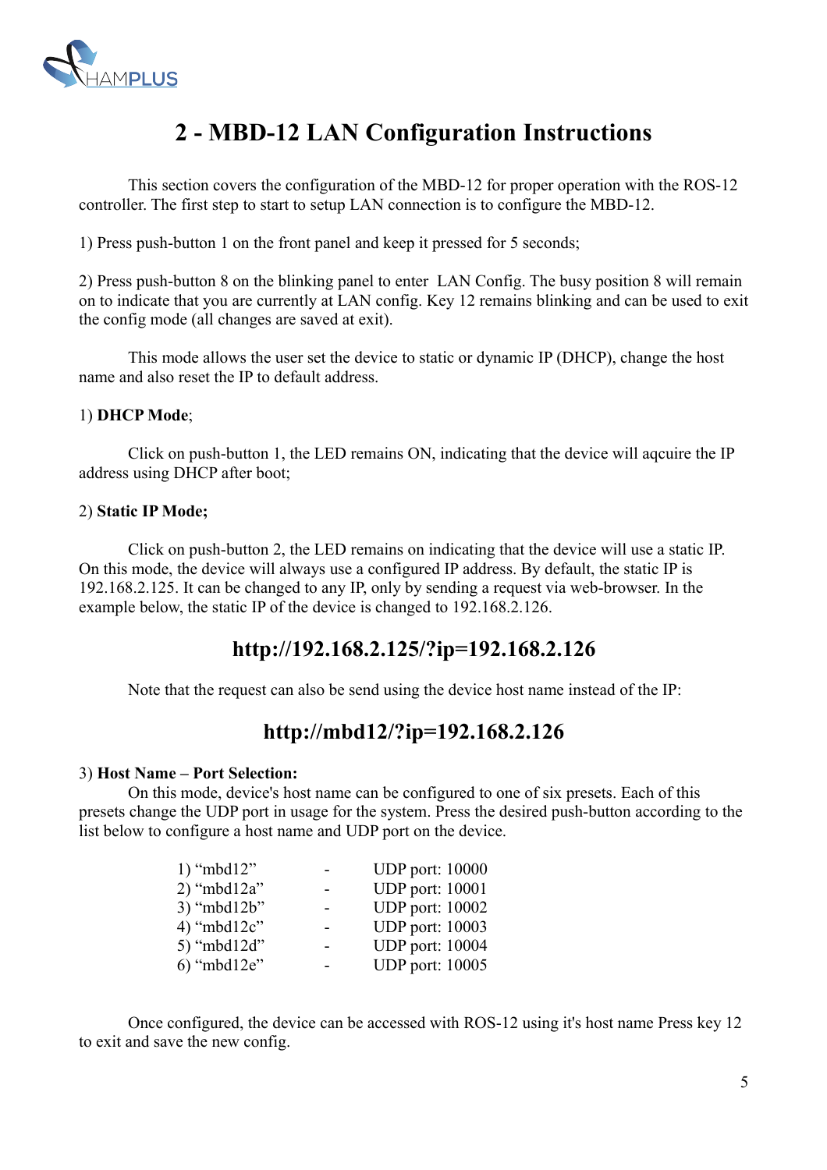

# **2 - MBD-12 LAN Configuration Instructions**

This section covers the configuration of the MBD-12 for proper operation with the ROS-12 controller. The first step to start to setup LAN connection is to configure the MBD-12.

1) Press push-button 1 on the front panel and keep it pressed for 5 seconds;

2) Press push-button 8 on the blinking panel to enter LAN Config. The busy position 8 will remain on to indicate that you are currently at LAN config. Key 12 remains blinking and can be used to exit the config mode (all changes are saved at exit).

This mode allows the user set the device to static or dynamic IP (DHCP), change the host name and also reset the IP to default address.

#### 1) **DHCP Mode**;

Click on push-button 1, the LED remains ON, indicating that the device will aqcuire the IP address using DHCP after boot;

#### 2) **Static IP Mode;**

Click on push-button 2, the LED remains on indicating that the device will use a static IP. On this mode, the device will always use a configured IP address. By default, the static IP is 192.168.2.125. It can be changed to any IP, only by sending a request via web-browser. In the example below, the static IP of the device is changed to 192.168.2.126.

## **[http://192.168.2.125/?ip=192.168.2.126](http://mbd12a/?ip=192.168.2.126)**

Note that the request can also be send using the device host name instead of the IP:

## **[http://mbd12/?ip=192.168.2.126](http://mbd12a/?ip=192.168.2.126)**

#### 3) **Host Name – Port Selection:**

On this mode, device's host name can be configured to one of six presets. Each of this presets change the UDP port in usage for the system. Press the desired push-button according to the list below to configure a host name and UDP port on the device.

| <b>UDP</b> port: 10000 |
|------------------------|
| <b>UDP</b> port: 10001 |
| <b>UDP</b> port: 10002 |
| <b>UDP</b> port: 10003 |
| <b>UDP</b> port: 10004 |
| <b>UDP</b> port: 10005 |
|                        |

Once configured, the device can be accessed with ROS-12 using it's host name Press key 12 to exit and save the new config.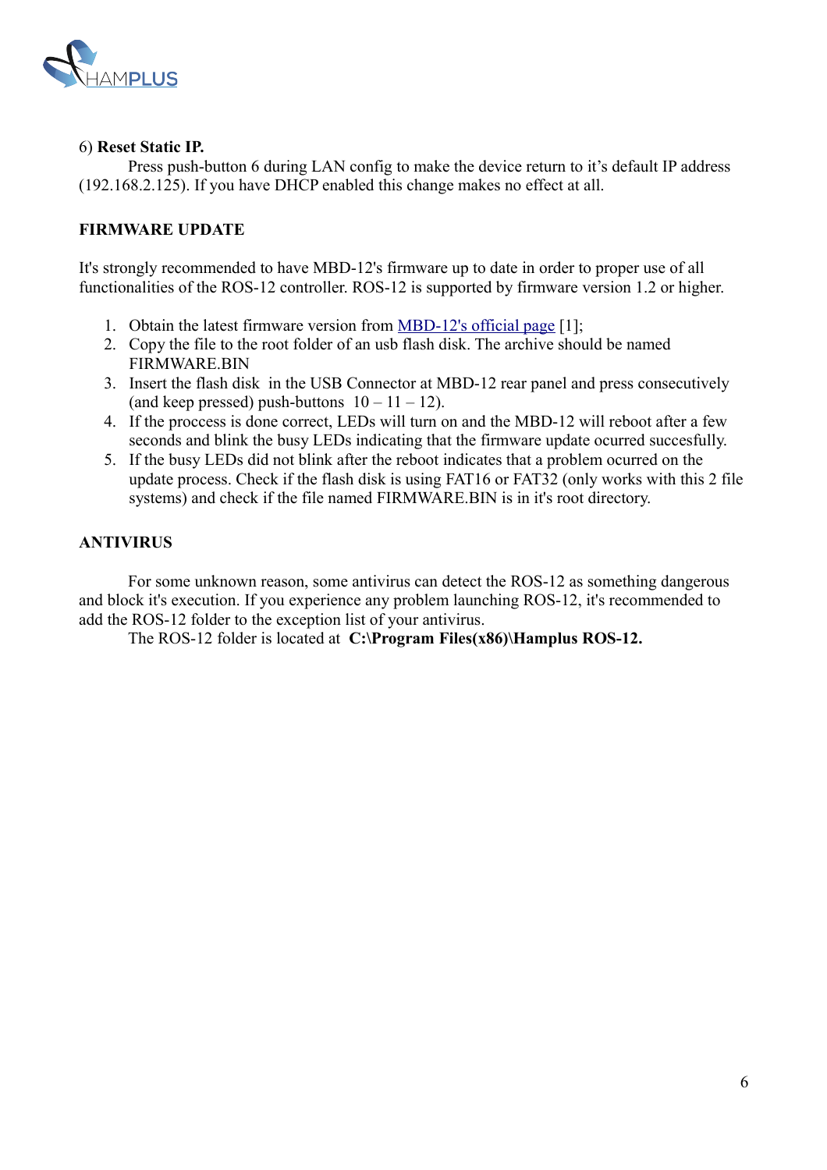

#### 6) **Reset Static IP.**

Press push-button 6 during LAN config to make the device return to it's default IP address (192.168.2.125). If you have DHCP enabled this change makes no effect at all.

#### **FIRMWARE UPDATE**

It's strongly recommended to have MBD-12's firmware up to date in order to proper use of all functionalities of the ROS-12 controller. ROS-12 is supported by firmware version 1.2 or higher.

- 1. Obtain the latest firmware version from [MBD-12's official page](http://hamplus.com/mbd12f.htm) [1];
- 2. Copy the file to the root folder of an usb flash disk. The archive should be named FIRMWARE.BIN
- 3. Insert the flash disk in the USB Connector at MBD-12 rear panel and press consecutively (and keep pressed) push-buttons  $10 - 11 - 12$ ).
- 4. If the proccess is done correct, LEDs will turn on and the MBD-12 will reboot after a few seconds and blink the busy LEDs indicating that the firmware update ocurred succesfully.
- 5. If the busy LEDs did not blink after the reboot indicates that a problem ocurred on the update process. Check if the flash disk is using FAT16 or FAT32 (only works with this 2 file systems) and check if the file named FIRMWARE.BIN is in it's root directory.

#### **ANTIVIRUS**

For some unknown reason, some antivirus can detect the ROS-12 as something dangerous and block it's execution. If you experience any problem launching ROS-12, it's recommended to add the ROS-12 folder to the exception list of your antivirus.

The ROS-12 folder is located at **C:\Program Files(x86)\Hamplus ROS-12.**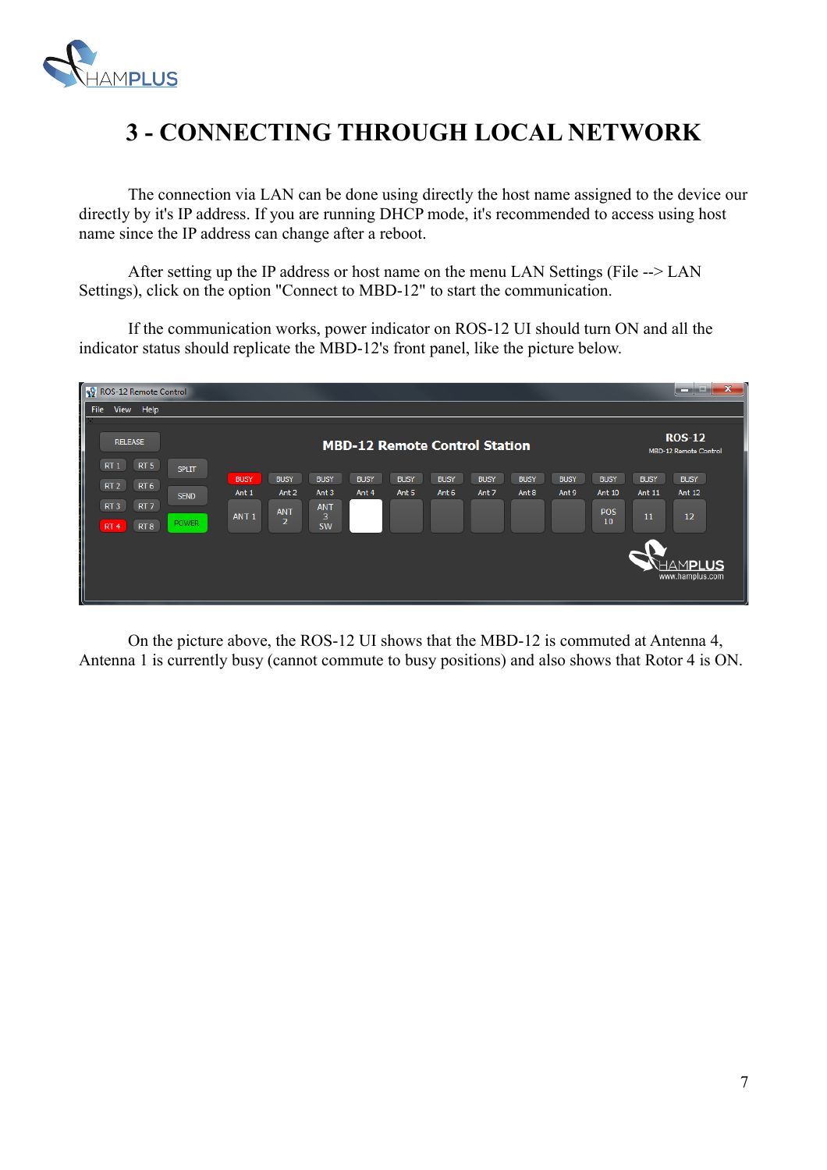

# **3 - CONNECTING THROUGH LOCAL NETWORK**

The connection via LAN can be done using directly the host name assigned to the device our directly by it's IP address. If you are running DHCP mode, it's recommended to access using host name since the IP address can change after a reboot.

After setting up the IP address or host name on the menu LAN Settings (File --> LAN Settings), click on the option "Connect to MBD-12" to start the communication.

If the communication works, power indicator on ROS-12 UI should turn ON and all the indicator status should replicate the MBD-12's front panel, like the picture below.



On the picture above, the ROS-12 UI shows that the MBD-12 is commuted at Antenna 4, Antenna 1 is currently busy (cannot commute to busy positions) and also shows that Rotor 4 is ON.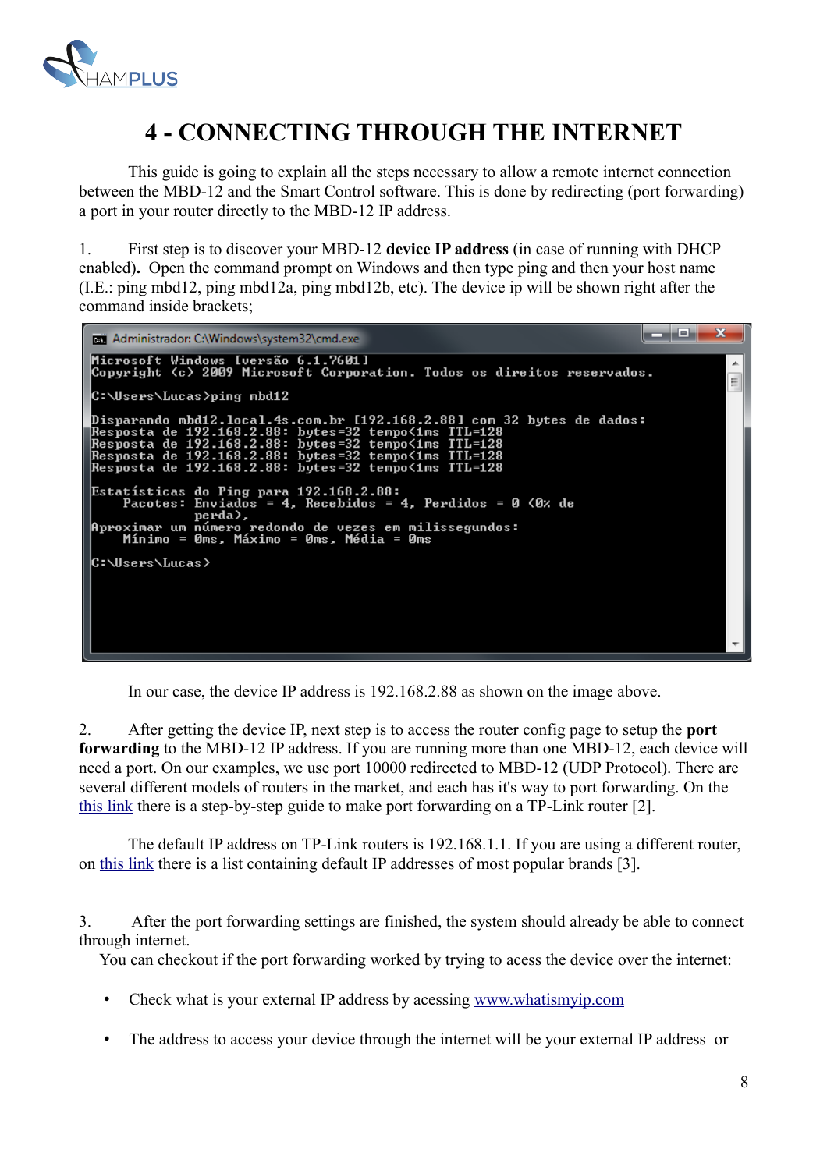

# **4 - CONNECTING THROUGH THE INTERNET**

This guide is going to explain all the steps necessary to allow a remote internet connection between the MBD-12 and the Smart Control software. This is done by redirecting (port forwarding) a port in your router directly to the MBD-12 IP address.

1. First step is to discover your MBD-12 **device IP address** (in case of running with DHCP enabled)**.** Open the command prompt on Windows and then type ping and then your host name (I.E.: ping mbd12, ping mbd12a, ping mbd12b, etc). The device ip will be shown right after the command inside brackets;



In our case, the device IP address is 192.168.2.88 as shown on the image above.

2. After getting the device IP, next step is to access the router config page to setup the **port forwarding** to the MBD-12 IP address. If you are running more than one MBD-12, each device will need a port. On our examples, we use port 10000 redirected to MBD-12 (UDP Protocol). There are several different models of routers in the market, and each has it's way to port forwarding. On the [this link](https://www.noip.com/support/knowledgebase/tp-link-router-port-forwarding/) there is a step-by-step guide to make port forwarding on a TP-Link router [2].

The default IP address on TP-Link routers is 192.168.1.1. If you are using a different router, on this link there is a list containing default IP addresses of most popular brands [3].

3. After the port forwarding settings are finished, the system should already be able to connect through internet.

You can checkout if the port forwarding worked by trying to acess the device over the internet:

- Check what is your external IP address by acessing [www.whatismyip.com](http://www.whatismyip.com/)
- The address to access your device through the internet will be your external IP address or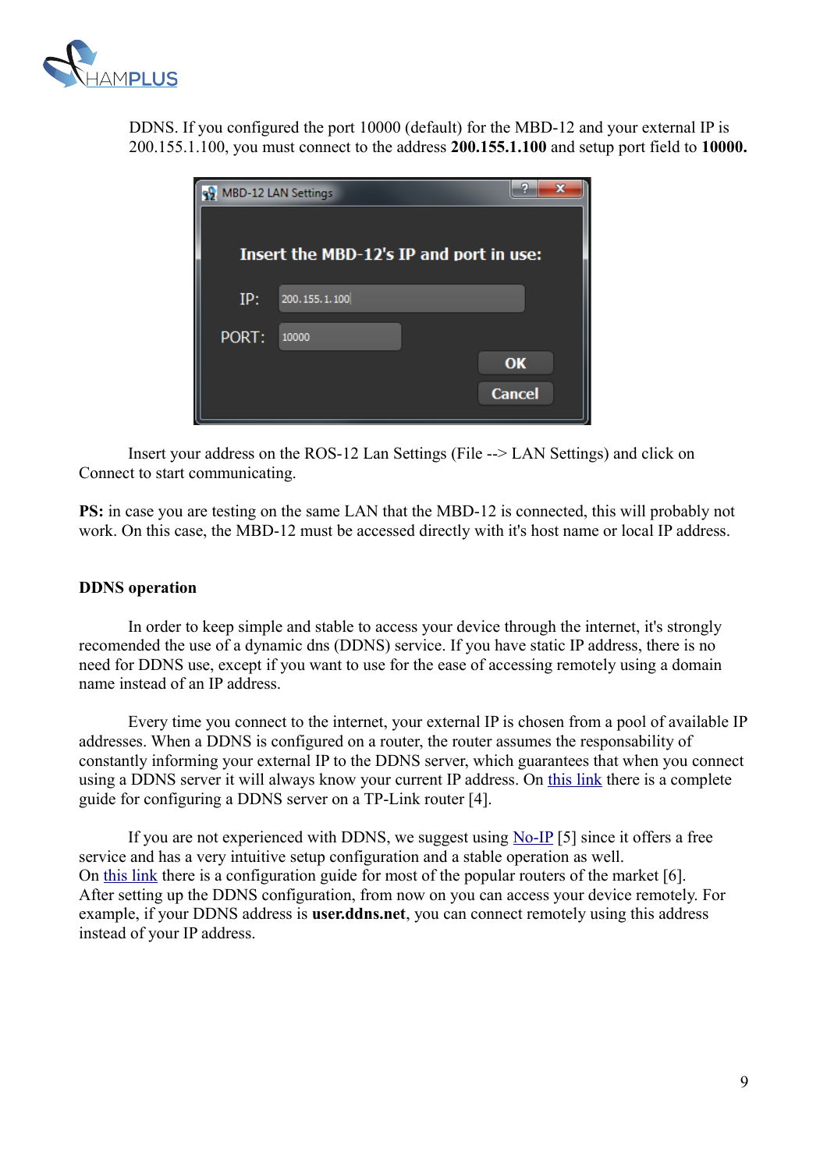

DDNS. If you configured the port 10000 (default) for the MBD-12 and your external IP is 200.155.1.100, you must connect to the address **200.155.1.100** and setup port field to **10000.**

|       | MBD-12 LAN Settings                     | ର<br>$\overline{\mathbf{x}}$ |
|-------|-----------------------------------------|------------------------------|
|       | Insert the MBD-12's IP and port in use: |                              |
| IP:   | 200.155.1.100                           |                              |
| PORT: | 10000                                   |                              |
|       |                                         | OK                           |
|       |                                         | <b>Cancel</b>                |

Insert your address on the ROS-12 Lan Settings (File --> LAN Settings) and click on Connect to start communicating.

**PS:** in case you are testing on the same LAN that the MBD-12 is connected, this will probably not work. On this case, the MBD-12 must be accessed directly with it's host name or local IP address.

#### **DDNS operation**

In order to keep simple and stable to access your device through the internet, it's strongly recomended the use of a dynamic dns (DDNS) service. If you have static IP address, there is no need for DDNS use, except if you want to use for the ease of accessing remotely using a domain name instead of an IP address.

Every time you connect to the internet, your external IP is chosen from a pool of available IP addresses. When a DDNS is configured on a router, the router assumes the responsability of constantly informing your external IP to the DDNS server, which guarantees that when you connect using a DDNS server it will always know your current IP address. On [this link](https://www.tp-link.com/en/support/faq/419/) there is a complete guide for configuring a DDNS server on a TP-Link router [4].

If you are not experienced with DDNS, we suggest using [No-IP](https://www.noip.com/) [5] since it offers a free service and has a very intuitive setup configuration and a stable operation as well. On [this link](https://www.noip.com/support/knowledgebase/how-to-configure-ddns-in-router/) there is a configuration guide for most of the popular routers of the market [6]. After setting up the DDNS configuration, from now on you can access your device remotely. For example, if your DDNS address is **user.ddns.net**, you can connect remotely using this address instead of your IP address.